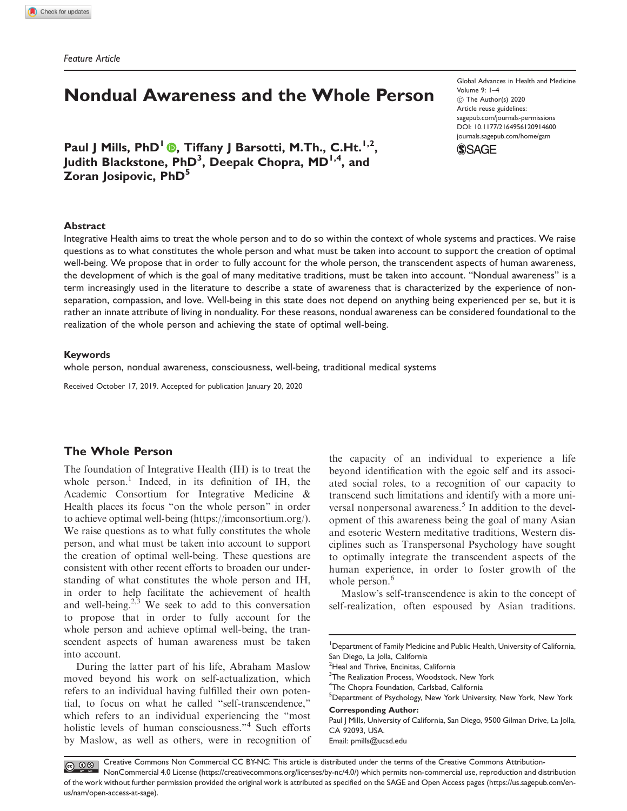Feature Article

# Nondual Awareness and the Whole Person

Paul J Mills, PhD<sup>1</sup> ., Tiffany J Barsotti, M.Th., C.Ht.<sup>1,2</sup>, Judith Blackstone, PhD<sup>3</sup>, Deepak Chopra, MD<sup>1,4</sup>, and Zoran Josipovic, PhD<sup>5</sup>

Global Advances in Health and Medicine Volume 9: 1–4  $\circledcirc$  The Author(s) 2020 Article reuse guidelines: [sagepub.com/journals-permissions](http://us.sagepub.com/en-us/journals-permissions) [DOI: 10.1177/2164956120914600](http://dx.doi.org/10.1177/2164956120914600) <journals.sagepub.com/home/gam>



#### Abstract

Integrative Health aims to treat the whole person and to do so within the context of whole systems and practices. We raise questions as to what constitutes the whole person and what must be taken into account to support the creation of optimal well-being. We propose that in order to fully account for the whole person, the transcendent aspects of human awareness, the development of which is the goal of many meditative traditions, must be taken into account. "Nondual awareness" is a term increasingly used in the literature to describe a state of awareness that is characterized by the experience of nonseparation, compassion, and love. Well-being in this state does not depend on anything being experienced per se, but it is rather an innate attribute of living in nonduality. For these reasons, nondual awareness can be considered foundational to the realization of the whole person and achieving the state of optimal well-being.

### Keywords

whole person, nondual awareness, consciousness, well-being, traditional medical systems

Received October 17, 2019. Accepted for publication January 20, 2020

## The Whole Person

us/nam/open-access-at-sage).

The foundation of Integrative Health (IH) is to treat the whole person.<sup>1</sup> Indeed, in its definition of IH, the Academic Consortium for Integrative Medicine & Health places its focus "on the whole person" in order to achieve optimal well-being [\(https://imconsortium.org/](https://imconsortium.org/)). We raise questions as to what fully constitutes the whole person, and what must be taken into account to support the creation of optimal well-being. These questions are consistent with other recent efforts to broaden our understanding of what constitutes the whole person and IH, in order to help facilitate the achievement of health and well-being. $2,3$  We seek to add to this conversation to propose that in order to fully account for the whole person and achieve optimal well-being, the transcendent aspects of human awareness must be taken into account.

During the latter part of his life, Abraham Maslow moved beyond his work on self-actualization, which refers to an individual having fulfilled their own potential, to focus on what he called "self-transcendence," which refers to an individual experiencing the "most holistic levels of human consciousness."<sup>4</sup> Such efforts by Maslow, as well as others, were in recognition of the capacity of an individual to experience a life beyond identification with the egoic self and its associated social roles, to a recognition of our capacity to transcend such limitations and identify with a more universal nonpersonal awareness.<sup>5</sup> In addition to the development of this awareness being the goal of many Asian and esoteric Western meditative traditions, Western disciplines such as Transpersonal Psychology have sought to optimally integrate the transcendent aspects of the human experience, in order to foster growth of the whole person.<sup>6</sup>

Maslow's self-transcendence is akin to the concept of self-realization, often espoused by Asian traditions.

<sup>2</sup>Heal and Thrive, Encinitas, California

<sup>3</sup>The Realization Process, Woodstock, New York

<sup>4</sup>The Chopra Foundation, Carlsbad, California

5 Department of Psychology, New York University, New York, New York

Corresponding Author:

Paul J Mills, University of California, San Diego, 9500 Gilman Drive, La Jolla, CA 92093, USA. Email: [pmills@ucsd.edu](mailto:pmills@ucsd.edu)

Creative Commons Non Commercial CC BY-NC: This article is distributed under the terms of the Creative Commons Attribution- $\bigcirc$   $\bigcirc$   $\bigcirc$ NonCommercial 4.0 License (https://creativecommons.org/licenses/by-nc/4.0/) which permits non-commercial use, reproduction and distribution of the work without further permission provided the original work is attributed as specified on the SAGE and Open Access pages (https://us.sagepub.com/en-

<sup>&</sup>lt;sup>1</sup>Department of Family Medicine and Public Health, University of California, San Diego, La Jolla, California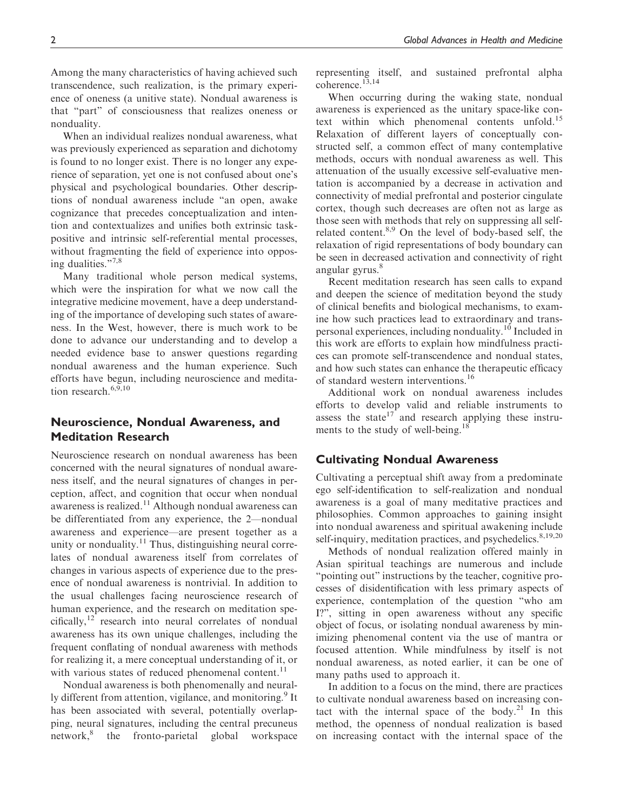Among the many characteristics of having achieved such transcendence, such realization, is the primary experience of oneness (a unitive state). Nondual awareness is that "part" of consciousness that realizes oneness or nonduality.

When an individual realizes nondual awareness, what was previously experienced as separation and dichotomy is found to no longer exist. There is no longer any experience of separation, yet one is not confused about one's physical and psychological boundaries. Other descriptions of nondual awareness include "an open, awake cognizance that precedes conceptualization and intention and contextualizes and unifies both extrinsic taskpositive and intrinsic self-referential mental processes, without fragmenting the field of experience into opposing dualities."7,8

Many traditional whole person medical systems, which were the inspiration for what we now call the integrative medicine movement, have a deep understanding of the importance of developing such states of awareness. In the West, however, there is much work to be done to advance our understanding and to develop a needed evidence base to answer questions regarding nondual awareness and the human experience. Such efforts have begun, including neuroscience and meditation research  $6,9,10$ 

# Neuroscience, Nondual Awareness, and Meditation Research

Neuroscience research on nondual awareness has been concerned with the neural signatures of nondual awareness itself, and the neural signatures of changes in perception, affect, and cognition that occur when nondual awareness is realized.<sup>11</sup> Although nondual awareness can be differentiated from any experience, the 2—nondual awareness and experience—are present together as a unity or nonduality. $11$  Thus, distinguishing neural correlates of nondual awareness itself from correlates of changes in various aspects of experience due to the presence of nondual awareness is nontrivial. In addition to the usual challenges facing neuroscience research of human experience, and the research on meditation specifically,<sup>12</sup> research into neural correlates of nondual awareness has its own unique challenges, including the frequent conflating of nondual awareness with methods for realizing it, a mere conceptual understanding of it, or with various states of reduced phenomenal content.<sup>11</sup>

Nondual awareness is both phenomenally and neurally different from attention, vigilance, and monitoring.<sup>9</sup> It has been associated with several, potentially overlapping, neural signatures, including the central precuneus network,<sup>8</sup> the fronto-parietal global workspace

representing itself, and sustained prefrontal alpha coherence.<sup>13,14</sup>

When occurring during the waking state, nondual awareness is experienced as the unitary space-like context within which phenomenal contents unfold.<sup>15</sup> Relaxation of different layers of conceptually constructed self, a common effect of many contemplative methods, occurs with nondual awareness as well. This attenuation of the usually excessive self-evaluative mentation is accompanied by a decrease in activation and connectivity of medial prefrontal and posterior cingulate cortex, though such decreases are often not as large as those seen with methods that rely on suppressing all selfrelated content.<sup>8,9</sup> On the level of body-based self, the relaxation of rigid representations of body boundary can be seen in decreased activation and connectivity of right angular gyrus.<sup>8</sup>

Recent meditation research has seen calls to expand and deepen the science of meditation beyond the study of clinical benefits and biological mechanisms, to examine how such practices lead to extraordinary and transpersonal experiences, including nonduality.<sup>10</sup> Included in this work are efforts to explain how mindfulness practices can promote self-transcendence and nondual states, and how such states can enhance the therapeutic efficacy of standard western interventions.<sup>16</sup>

Additional work on nondual awareness includes efforts to develop valid and reliable instruments to assess the state<sup>17</sup> and research applying these instruments to the study of well-being.<sup>18</sup>

## Cultivating Nondual Awareness

Cultivating a perceptual shift away from a predominate ego self-identification to self-realization and nondual awareness is a goal of many meditative practices and philosophies. Common approaches to gaining insight into nondual awareness and spiritual awakening include self-inquiry, meditation practices, and psychedelics.<sup>8,19,20</sup>

Methods of nondual realization offered mainly in Asian spiritual teachings are numerous and include "pointing out" instructions by the teacher, cognitive processes of disidentification with less primary aspects of experience, contemplation of the question "who am I?", sitting in open awareness without any specific object of focus, or isolating nondual awareness by minimizing phenomenal content via the use of mantra or focused attention. While mindfulness by itself is not nondual awareness, as noted earlier, it can be one of many paths used to approach it.

In addition to a focus on the mind, there are practices to cultivate nondual awareness based on increasing contact with the internal space of the body.<sup>21</sup> In this method, the openness of nondual realization is based on increasing contact with the internal space of the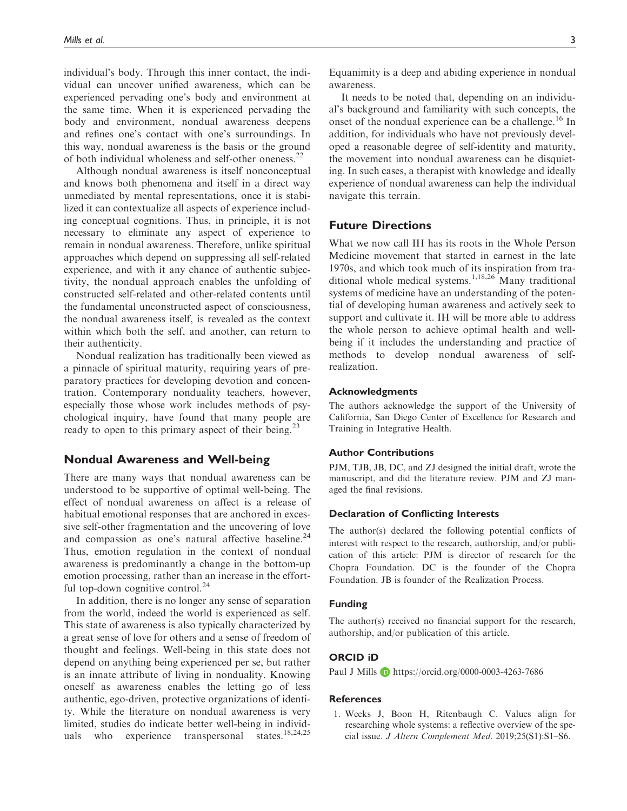individual's body. Through this inner contact, the individual can uncover unified awareness, which can be experienced pervading one's body and environment at the same time. When it is experienced pervading the body and environment, nondual awareness deepens and refines one's contact with one's surroundings. In this way, nondual awareness is the basis or the ground of both individual wholeness and self-other oneness.<sup>22</sup>

Although nondual awareness is itself nonconceptual and knows both phenomena and itself in a direct way unmediated by mental representations, once it is stabilized it can contextualize all aspects of experience including conceptual cognitions. Thus, in principle, it is not necessary to eliminate any aspect of experience to remain in nondual awareness. Therefore, unlike spiritual approaches which depend on suppressing all self-related experience, and with it any chance of authentic subjectivity, the nondual approach enables the unfolding of constructed self-related and other-related contents until the fundamental unconstructed aspect of consciousness, the nondual awareness itself, is revealed as the context within which both the self, and another, can return to their authenticity.

Nondual realization has traditionally been viewed as a pinnacle of spiritual maturity, requiring years of preparatory practices for developing devotion and concentration. Contemporary nonduality teachers, however, especially those whose work includes methods of psychological inquiry, have found that many people are ready to open to this primary aspect of their being.<sup>23</sup>

### Nondual Awareness and Well-being

There are many ways that nondual awareness can be understood to be supportive of optimal well-being. The effect of nondual awareness on affect is a release of habitual emotional responses that are anchored in excessive self-other fragmentation and the uncovering of love and compassion as one's natural affective baseline.<sup>24</sup> Thus, emotion regulation in the context of nondual awareness is predominantly a change in the bottom-up emotion processing, rather than an increase in the effortful top-down cognitive control.<sup>24</sup>

In addition, there is no longer any sense of separation from the world, indeed the world is experienced as self. This state of awareness is also typically characterized by a great sense of love for others and a sense of freedom of thought and feelings. Well-being in this state does not depend on anything being experienced per se, but rather is an innate attribute of living in nonduality. Knowing oneself as awareness enables the letting go of less authentic, ego-driven, protective organizations of identity. While the literature on nondual awareness is very limited, studies do indicate better well-being in individuals who experience transpersional states.<sup>18,24,25</sup> uals who experience transpersonal

Equanimity is a deep and abiding experience in nondual awareness.

It needs to be noted that, depending on an individual's background and familiarity with such concepts, the onset of the nondual experience can be a challenge.<sup>16</sup> In addition, for individuals who have not previously developed a reasonable degree of self-identity and maturity, the movement into nondual awareness can be disquieting. In such cases, a therapist with knowledge and ideally experience of nondual awareness can help the individual navigate this terrain.

# Future Directions

What we now call IH has its roots in the Whole Person Medicine movement that started in earnest in the late 1970s, and which took much of its inspiration from traditional whole medical systems.<sup>1,18,26</sup> Many traditional systems of medicine have an understanding of the potential of developing human awareness and actively seek to support and cultivate it. IH will be more able to address the whole person to achieve optimal health and wellbeing if it includes the understanding and practice of methods to develop nondual awareness of selfrealization.

### Acknowledgments

The authors acknowledge the support of the University of California, San Diego Center of Excellence for Research and Training in Integrative Health.

### Author Contributions

PJM, TJB, JB, DC, and ZJ designed the initial draft, wrote the manuscript, and did the literature review. PJM and ZJ managed the final revisions.

#### Declaration of Conflicting Interests

The author(s) declared the following potential conflicts of interest with respect to the research, authorship, and/or publication of this article: PJM is director of research for the Chopra Foundation. DC is the founder of the Chopra Foundation. JB is founder of the Realization Process.

### Funding

The author(s) received no financial support for the research, authorship, and/or publication of this article.

### ORCID iD

Paul J Mills **D** <https://orcid.org/0000-0003-4263-7686>

#### **References**

1. Weeks J, Boon H, Ritenbaugh C. Values align for researching whole systems: a reflective overview of the special issue. J Altern Complement Med. 2019;25(S1):S1–S6.